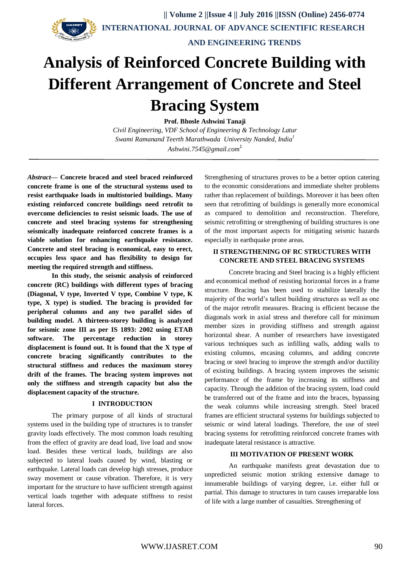

 **|| Volume 2 ||Issue 4 || July 2016 ||ISSN (Online) 2456-0774 INTERNATIONAL JOURNAL OF ADVANCE SCIENTIFIC RESEARCH** 

 **AND ENGINEERING TRENDS**

# **Analysis of Reinforced Concrete Building with Different Arrangement of Concrete and Steel Bracing System**

**Prof. Bhosle Ashwini Tanaji**

*Civil Engineering, VDF School of Engineering & Technology Latur Swami Ramanand Teerth Marathwada University Nanded, India<sup>1</sup> [Ashwini.7545@gmail.com](mailto:Ashwini.7545@gmail.com)*<sup>1</sup>

*Abstract***— Concrete braced and steel braced reinforced concrete frame is one of the structural systems used to resist earthquake loads in multistoried buildings. Many existing reinforced concrete buildings need retrofit to overcome deficiencies to resist seismic loads. The use of concrete and steel bracing systems for strengthening seismically inadequate reinforced concrete frames is a viable solution for enhancing earthquake resistance. Concrete and steel bracing is economical, easy to erect, occupies less space and has flexibility to design for meeting the required strength and stiffness.**

**In this study, the seismic analysis of reinforced concrete (RC) buildings with different types of bracing (Diagonal, V type, Inverted V type, Combine V type, K type, X type) is studied. The bracing is provided for peripheral columns and any two parallel sides of building model. A thirteen-storey building is analyzed for seismic zone III as per IS 1893: 2002 using ETAB software. The percentage reduction in storey displacement is found out. It is found that the X type of concrete bracing significantly contributes to the structural stiffness and reduces the maximum storey drift of the frames. The bracing system improves not only the stiffness and strength capacity but also the displacement capacity of the structure.**

### **I INTRODUCTION**

The primary purpose of all kinds of structural systems used in the building type of structures is to transfer gravity loads effectively. The most common loads resulting from the effect of gravity are dead load, live load and snow load. Besides these vertical loads, buildings are also subjected to lateral loads caused by wind, blasting or earthquake. Lateral loads can develop high stresses, produce sway movement or cause vibration. Therefore, it is very important for the structure to have sufficient strength against vertical loads together with adequate stiffness to resist lateral forces.

Strengthening of structures proves to be a better option catering to the economic considerations and immediate shelter problems rather than replacement of buildings. Moreover it has been often seen that retrofitting of buildings is generally more economical as compared to demolition and reconstruction. Therefore, seismic retrofitting or strengthening of building structures is one of the most important aspects for mitigating seismic hazards especially in earthquake prone areas.

## **II STRENGTHENING OF RC STRUCTURES WITH CONCRETE AND STEEL BRACING SYSTEMS**

Concrete bracing and Steel bracing is a highly efficient and economical method of resisting horizontal forces in a frame structure. Bracing has been used to stabilize laterally the majority of the world's tallest building structures as well as one of the major retrofit measures. Bracing is efficient because the diagonals work in axial stress and therefore call for minimum member sizes in providing stiffness and strength against horizontal shear. A number of researchers have investigated various techniques such as infilling walls, adding walls to existing columns, encasing columns, and adding concrete bracing or steel bracing to improve the strength and/or ductility of existing buildings. A bracing system improves the seismic performance of the frame by increasing its stiffness and capacity. Through the addition of the bracing system, load could be transferred out of the frame and into the braces, bypassing the weak columns while increasing strength. Steel braced frames are efficient structural systems for buildings subjected to seismic or wind lateral loadings. Therefore, the use of steel bracing systems for retrofitting reinforced concrete frames with inadequate lateral resistance is attractive.

### **III MOTIVATION OF PRESENT WORK**

An earthquake manifests great devastation due to unpredicted seismic motion striking extensive damage to innumerable buildings of varying degree, i.e. either full or partial. This damage to structures in turn causes irreparable loss of life with a large number of casualties. Strengthening of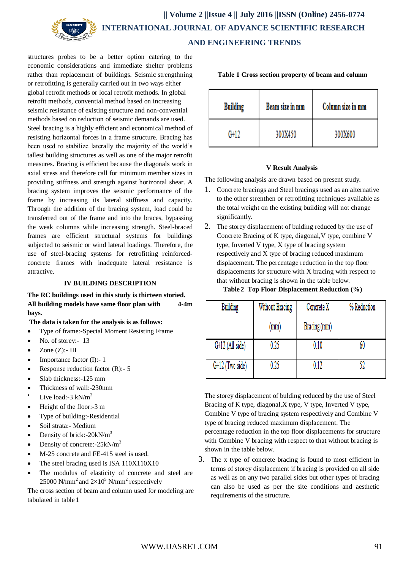

structures probes to be a better option catering to the economic considerations and immediate shelter problems rather than replacement of buildings. Seismic strengthning or retrofitting is generally carried out in two ways either global retrofit methods or local retrofit methods. In global retrofit methods, convential method based on increasing seismic resistance of existing structure and non-convential methods based on reduction of seismic demands are used. Steel bracing is a highly efficient and economical method of resisting horizontal forces in a frame structure. Bracing has been used to stabilize laterally the majority of the world's tallest building structures as well as one of the major retrofit measures. Bracing is efficient because the diagonals work in axial stress and therefore call for minimum member sizes in providing stiffness and strength against horizontal shear. A bracing system improves the seismic performance of the frame by increasing its lateral stiffness and capacity. Through the addition of the bracing system, load could be transferred out of the frame and into the braces, bypassing the weak columns while increasing strength. Steel-braced frames are efficient structural systems for buildings subjected to seismic or wind lateral loadings. Therefore, the use of steel-bracing systems for retrofitting reinforcedconcrete frames with inadequate lateral resistance is attractive.

### **IV BUILDING DESCRIPTION**

**The RC buildings used in this study is thirteen storied. All building models have same floor plan with 4-4m bays.**

### **The data is taken for the analysis is as follows:**

- Type of frame:-Special Moment Resisting Frame
- No. of storey:- 13
- Zone  $(Z)$ :- III
- Importance factor (I):- 1
- Response reduction factor (R):- 5
- Slab thickness: -125 mm
- Thickness of wall:-230mm
- Live load:  $-3$  kN/m<sup>2</sup>
- Height of the floor:-3 m
- Type of building:-Residential
- Soil strata:- Medium
- Density of brick:-20kN/m<sup>3</sup>
- Density of concrete:-25kN/m<sup>3</sup>
- M-25 concrete and FE-415 steel is used.
- The steel bracing used is ISA 110X110X10
- The modulus of elasticity of concrete and steel are 25000 N/mm<sup>2</sup> and  $2\times10^5$  N/mm<sup>2</sup> respectively

The cross section of beam and column used for modeling are tabulated in table 1

| <b>Building</b> | Beam size in mm | Column size in mm |
|-----------------|-----------------|-------------------|
| G+12            | 300X450         | 300X600           |

#### **Table 1 Cross section property of beam and column**

### **V Result Analysis**

The following analysis are drawn based on present study.

- 1. Concrete bracings and Steel bracings used as an alternative to the other strenthen or retrofitting techniques available as the total weight on the existing building will not change significantly.
- 2. The storey displacement of bulding reduced by the use of Concrete Bracing of K type, diagonal,V type, combine V type, Inverted V type, X type of bracing system respectively and X type of bracing reduced maximum displacement. The percentage reduction in the top floor displacements for structure with X bracing with respect to that without bracing is shown in the table below.

**Table 2 Top Floor Displacement Reduction (%)** 

| Building          | Without Bracing | Concrete X   | % Reduction |
|-------------------|-----------------|--------------|-------------|
|                   | (mm)            | Bracing (mm) |             |
| G+12 (All side)   | 0.25            | 0.10         |             |
| $G+12$ (Two side) | 0.25            | 0.12         |             |

The storey displacement of bulding reduced by the use of Steel Bracing of K type, diagonal,X type, V type, Inverted V type, Combine V type of bracing system respectively and Combine V type of bracing reduced maximum displacement. The percentage reduction in the top floor displacements for structure with Combine V bracing with respect to that without bracing is shown in the table below.

3. The x type of concrete bracing is found to most efficient in terms of storey displacement if bracing is provided on all side as well as on any two parallel sides but other types of bracing can also be used as per the site conditions and aesthetic requirements of the structure.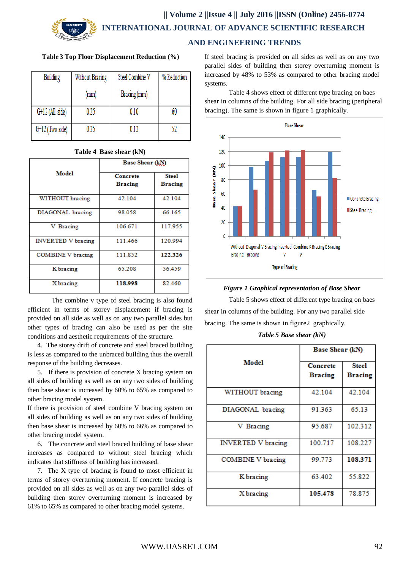# **|| Volume 2 ||Issue 4 || July 2016 ||ISSN (Online) 2456-0774 INTERNATIONAL JOURNAL OF ADVANCE SCIENTIFIC RESEARCH**

### **Table 3 Top Floor Displacement Reduction (%)**

| Building          | Without Bracing | Steel Combine V | % Reduction |
|-------------------|-----------------|-----------------|-------------|
|                   | (mm)            | Bracing (mm)    |             |
| $G+12$ (All side) | 0.25            | 0.10            | 60          |
| $G+12$ (Two side) | 0.25            | 0.12            |             |

### **Table 4 Base shear (kN)**

|                           | Base Shear (kN)                   |                                |
|---------------------------|-----------------------------------|--------------------------------|
| <b>Model</b>              | <b>Concrete</b><br><b>Bracing</b> | <b>Steel</b><br><b>Bracing</b> |
| WITHOUT bracing           | 42.104                            | 42.104                         |
| DIAGONAL bracing          | 98.058                            | 66.165                         |
| V Bracing                 | 106.671                           | 117.955                        |
| <b>INVERTED V bracing</b> | 111.466                           | 120.994                        |
| <b>COMBINE V</b> bracing  | 111.852                           | 122.326                        |
| K bracing                 | 65.208                            | 56.459                         |
| X bracing                 | 118.998                           | 82.460                         |

The combine v type of steel bracing is also found efficient in terms of storey displacement if bracing is provided on all side as well as on any two parallel sides but other types of bracing can also be used as per the site conditions and aesthetic requirements of the structure.

 4. The storey drift of concrete and steel braced building is less as compared to the unbraced building thus the overall response of the building decreases.

 5. If there is provision of concrete X bracing system on all sides of building as well as on any two sides of building then base shear is increased by 60% to 65% as compared to other bracing model system.

If there is provision of steel combine V bracing system on all sides of building as well as on any two sides of building then base shear is increased by 60% to 66% as compared to other bracing model system.

 6. The concrete and steel braced building of base shear increases as compared to without steel bracing which indicates that stiffness of building has increased.

 7. The X type of bracing is found to most efficient in terms of storey overturning moment. If concrete bracing is provided on all sides as well as on any two parallel sides of building then storey overturning moment is increased by 61% to 65% as compared to other bracing model systems.

# **AND ENGINEERING TRENDS**

If steel bracing is provided on all sides as well as on any two parallel sides of building then storey overturning moment is increased by 48% to 53% as compared to other bracing model systems.

Table 4 shows effect of different type bracing on baes shear in columns of the building. For all side bracing (peripheral bracing). The same is shown in figure 1 graphically.





Table 5 shows effect of different type bracing on baes shear in columns of the building. For any two parallel side bracing. The same is shown in figure 2 graphically.

*Table 5 Base shear (kN)*

|                           | Base Shear (kN)            |                                |
|---------------------------|----------------------------|--------------------------------|
| Model                     | Concrete<br><b>Bracing</b> | <b>Steel</b><br><b>Bracing</b> |
| WITHOUT bracing           | 42.104                     | 42.104                         |
| DIAGONAL bracing          | 91.363                     | 65.13                          |
| V Bracing                 | 95.687                     | 102.312                        |
| <b>INVERTED V bracing</b> | 100.717                    | 108.227                        |
| COMBINE V bracing         | 99.773                     | 108.371                        |
| K bracing                 | 63.402                     | 55.822                         |
| X bracing                 | 105.478                    | 78.875                         |